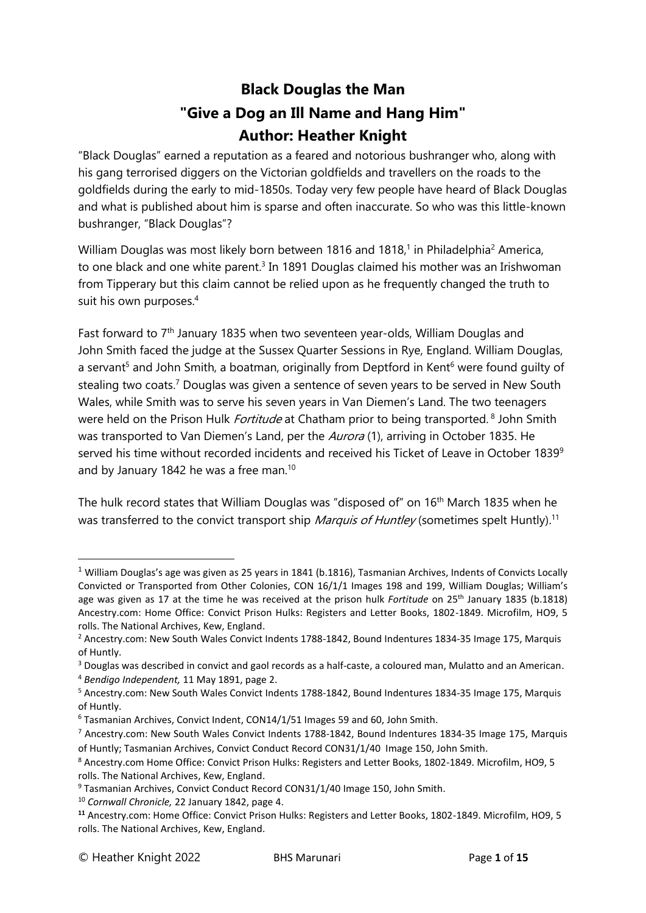## **Black Douglas the Man "Give a Dog an Ill Name and Hang Him" Author: Heather Knight**

"Black Douglas" earned a reputation as a feared and notorious bushranger who, along with his gang terrorised diggers on the Victorian goldfields and travellers on the roads to the goldfields during the early to mid-1850s. Today very few people have heard of Black Douglas and what is published about him is sparse and often inaccurate. So who was this little-known bushranger, "Black Douglas"?

William Douglas was most likely born between 1816 and 1818,<sup>1</sup> in Philadelphia<sup>2</sup> America, to one black and one white parent.<sup>3</sup> In 1891 Douglas claimed his mother was an Irishwoman from Tipperary but this claim cannot be relied upon as he frequently changed the truth to suit his own purposes. 4

Fast forward to 7th January 1835 when two seventeen year-olds, William Douglas and John Smith faced the judge at the Sussex Quarter Sessions in Rye, England. William Douglas, a servant<sup>5</sup> and John Smith, a boatman, originally from Deptford in Kent<sup>6</sup> were found guilty of stealing two coats.<sup>7</sup> Douglas was given a sentence of seven years to be served in New South Wales, while Smith was to serve his seven years in Van Diemen's Land. The two teenagers were held on the Prison Hulk *Fortitude* at Chatham prior to being transported. <sup>8</sup> John Smith was transported to Van Diemen's Land, per the Aurora (1), arriving in October 1835. He served his time without recorded incidents and received his Ticket of Leave in October 1839<sup>9</sup> and by January 1842 he was a free man.<sup>10</sup>

The hulk record states that William Douglas was "disposed of" on 16th March 1835 when he was transferred to the convict transport ship *Marquis of Huntley* (sometimes spelt Huntly).<sup>11</sup>

 $1$  William Douglas's age was given as 25 years in 1841 (b.1816), Tasmanian Archives, Indents of Convicts Locally Convicted or Transported from Other Colonies, CON 16/1/1 Images 198 and 199, William Douglas; William's age was given as 17 at the time he was received at the prison hulk *Fortitude* on 25th January 1835 (b.1818) Ancestry.com: Home Office: Convict Prison Hulks: Registers and Letter Books, 1802-1849. Microfilm, HO9, 5 rolls. The National Archives, Kew, England.

<sup>2</sup> Ancestry.com: New South Wales Convict Indents 1788-1842, Bound Indentures 1834-35 Image 175, Marquis of Huntly.

<sup>3</sup> Douglas was described in convict and gaol records as a half-caste, a coloured man, Mulatto and an American.

<sup>4</sup> *Bendigo Independent,* 11 May 1891, page 2.

<sup>5</sup> Ancestry.com: New South Wales Convict Indents 1788-1842, Bound Indentures 1834-35 Image 175, Marquis of Huntly.

<sup>6</sup> Tasmanian Archives, Convict Indent, CON14/1/51 Images 59 and 60, John Smith.

<sup>7</sup> Ancestry.com: New South Wales Convict Indents 1788-1842, Bound Indentures 1834-35 Image 175, Marquis of Huntly; Tasmanian Archives, Convict Conduct Record CON31/1/40 Image 150, John Smith.

<sup>8</sup> Ancestry.com Home Office: Convict Prison Hulks: Registers and Letter Books, 1802-1849. Microfilm, HO9, 5 rolls. The National Archives, Kew, England.

<sup>&</sup>lt;sup>9</sup> Tasmanian Archives, Convict Conduct Record CON31/1/40 Image 150, John Smith.

<sup>10</sup> *Cornwall Chronicle,* 22 January 1842, page 4.

**<sup>11</sup>** Ancestry.com: Home Office: Convict Prison Hulks: Registers and Letter Books, 1802-1849. Microfilm, HO9, 5 rolls. The National Archives, Kew, England.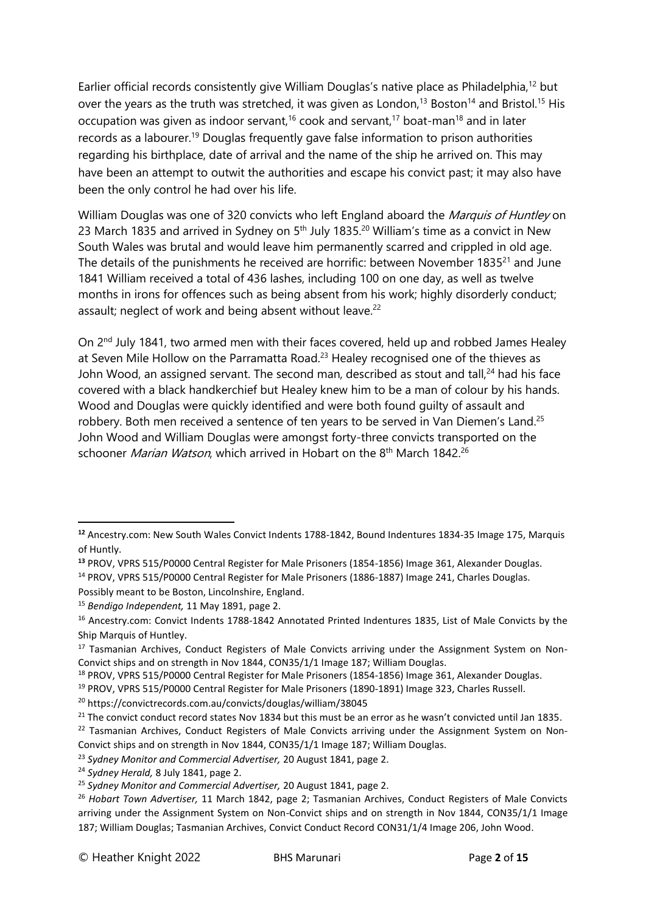Earlier official records consistently give William Douglas's native place as Philadelphia,<sup>12</sup> but over the years as the truth was stretched, it was given as London,<sup>13</sup> Boston<sup>14</sup> and Bristol.<sup>15</sup> His occupation was given as indoor servant,<sup>16</sup> cook and servant,<sup>17</sup> boat-man<sup>18</sup> and in later records as a labourer.<sup>19</sup> Douglas frequently gave false information to prison authorities regarding his birthplace, date of arrival and the name of the ship he arrived on. This may have been an attempt to outwit the authorities and escape his convict past; it may also have been the only control he had over his life.

William Douglas was one of 320 convicts who left England aboard the Marquis of Huntley on 23 March 1835 and arrived in Sydney on 5<sup>th</sup> July 1835.<sup>20</sup> William's time as a convict in New South Wales was brutal and would leave him permanently scarred and crippled in old age. The details of the punishments he received are horrific: between November 1835<sup>21</sup> and June 1841 William received a total of 436 lashes, including 100 on one day, as well as twelve months in irons for offences such as being absent from his work; highly disorderly conduct; assault; neglect of work and being absent without leave.<sup>22</sup>

On 2nd July 1841, two armed men with their faces covered, held up and robbed James Healey at Seven Mile Hollow on the Parramatta Road.<sup>23</sup> Healey recognised one of the thieves as John Wood, an assigned servant. The second man, described as stout and tall,<sup>24</sup> had his face covered with a black handkerchief but Healey knew him to be a man of colour by his hands. Wood and Douglas were quickly identified and were both found guilty of assault and robbery. Both men received a sentence of ten years to be served in Van Diemen's Land.<sup>25</sup> John Wood and William Douglas were amongst forty-three convicts transported on the schooner *Marian Watson*, which arrived in Hobart on the 8<sup>th</sup> March 1842.<sup>26</sup>

**<sup>12</sup>** Ancestry.com: New South Wales Convict Indents 1788-1842, Bound Indentures 1834-35 Image 175, Marquis of Huntly.

**<sup>13</sup>** PROV, VPRS 515/P0000 Central Register for Male Prisoners (1854-1856) Image 361, Alexander Douglas.

<sup>14</sup> PROV, VPRS 515/P0000 Central Register for Male Prisoners (1886-1887) Image 241, Charles Douglas.

Possibly meant to be Boston, Lincolnshire, England.

<sup>15</sup> *Bendigo Independent,* 11 May 1891, page 2.

<sup>&</sup>lt;sup>16</sup> Ancestry.com: Convict Indents 1788-1842 Annotated Printed Indentures 1835, List of Male Convicts by the Ship Marquis of Huntley.

<sup>&</sup>lt;sup>17</sup> Tasmanian Archives, Conduct Registers of Male Convicts arriving under the Assignment System on Non-Convict ships and on strength in Nov 1844, CON35/1/1 Image 187; William Douglas.

<sup>18</sup> PROV, VPRS 515/P0000 Central Register for Male Prisoners (1854-1856) Image 361, Alexander Douglas.

<sup>19</sup> PROV, VPRS 515/P0000 Central Register for Male Prisoners (1890-1891) Image 323, Charles Russell.

<sup>20</sup> <https://convictrecords.com.au/convicts/douglas/william/38045>

<sup>&</sup>lt;sup>21</sup> The convict conduct record states Nov 1834 but this must be an error as he wasn't convicted until Jan 1835.

 $22$  Tasmanian Archives, Conduct Registers of Male Convicts arriving under the Assignment System on Non-Convict ships and on strength in Nov 1844, CON35/1/1 Image 187; William Douglas.

<sup>23</sup> *Sydney Monitor and Commercial Advertiser,* 20 August 1841, page 2.

<sup>24</sup> *Sydney Herald,* 8 July 1841, page 2.

<sup>25</sup> *Sydney Monitor and Commercial Advertiser,* 20 August 1841, page 2.

<sup>26</sup> *Hobart Town Advertiser,* 11 March 1842, page 2; Tasmanian Archives, Conduct Registers of Male Convicts arriving under the Assignment System on Non-Convict ships and on strength in Nov 1844, CON35/1/1 Image 187; William Douglas; Tasmanian Archives, Convict Conduct Record CON31/1/4 Image 206, John Wood.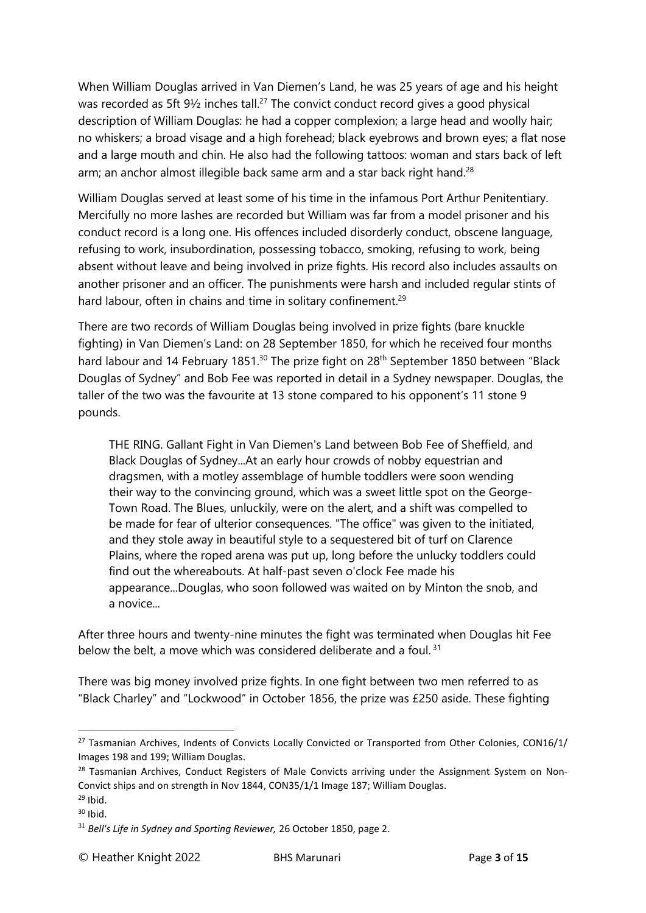When William Douglas arrived in Van Diemen's Land, he was 25 years of age and his height was recorded as 5ft 91/<sub>2</sub> inches tall.<sup>27</sup> The convict conduct record gives a good physical description of William Douglas: he had a copper complexion; a large head and woolly hair; no whiskers; a broad visage and a high forehead; black eyebrows and brown eyes; a flat nose and a large mouth and chin. He also had the following tattoos: woman and stars back of left arm; an anchor almost illegible back same arm and a star back right hand.<sup>28</sup>

William Douglas served at least some of his time in the infamous Port Arthur Penitentiary. Mercifully no more lashes are recorded but William was far from a model prisoner and his conduct record is a long one. His offences included disorderly conduct, obscene language, refusing to work, insubordination, possessing tobacco, smoking, refusing to work, being absent without leave and being involved in prize fights. His record also includes assaults on another prisoner and an officer. The punishments were harsh and included regular stints of hard labour, often in chains and time in solitary confinement.<sup>29</sup>

There are two records of William Douglas being involved in prize fights (bare knuckle fighting) in Van Diemen's Land: on 28 September 1850, for which he received four months hard labour and 14 February 1851.<sup>30</sup> The prize fight on 28<sup>th</sup> September 1850 between "Black Douglas of Sydney" and Bob Fee was reported in detail in a Sydney newspaper. Douglas, the taller of the two was the favourite at 13 stone compared to his opponent's 11 stone 9 pounds.

THE RING. Gallant Fight in Van Diemen's Land between Bob Fee of Sheffield, and Black Douglas of Sydney...At an early hour crowds of nobby equestrian and dragsmen, with a motley assemblage of humble toddlers were soon wending their way to the convincing ground, which was a sweet little spot on the George-Town Road. The Blues, unluckily, were on the alert, and a shift was compelled to be made for fear of ulterior consequences. "The office" was given to the initiated, and they stole away in beautiful style to a sequestered bit of turf on Clarence Plains, where the roped arena was put up, long before the unlucky toddlers could find out the whereabouts. At half-past seven o'clock Fee made his appearance...Douglas, who soon followed was waited on by Minton the snob, and a novice...

After three hours and twenty-nine minutes the fight was terminated when Douglas hit Fee below the belt, a move which was considered deliberate and a foul.<sup>31</sup>

There was big money involved prize fights. In one fight between two men referred to as "Black Charley" and "Lockwood" in October 1856, the prize was £250 aside. These fighting

<sup>&</sup>lt;sup>27</sup> Tasmanian Archives, Indents of Convicts Locally Convicted or Transported from Other Colonies, CON16/1/ Images 198 and 199; William Douglas.

 $28$  Tasmanian Archives, Conduct Registers of Male Convicts arriving under the Assignment System on Non-Convict ships and on strength in Nov 1844, CON35/1/1 Image 187; William Douglas.

 $29$  Ibid.  $30$  Ibid.

<sup>31</sup> *Bell's Life in Sydney and Sporting Reviewer,* 26 October 1850, page 2.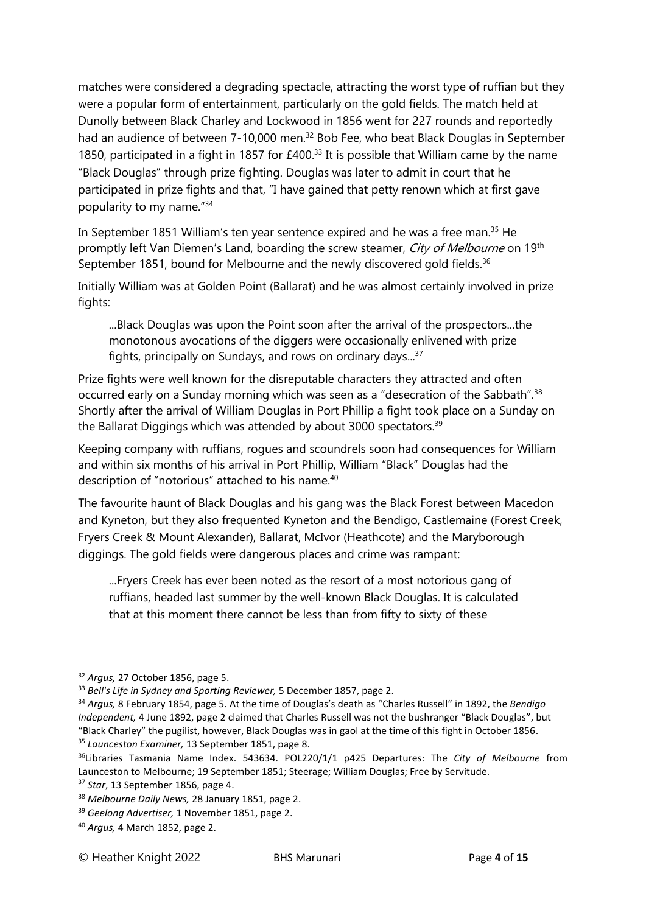matches were considered a degrading spectacle, attracting the worst type of ruffian but they were a popular form of entertainment, particularly on the gold fields. The match held at Dunolly between Black Charley and Lockwood in 1856 went for 227 rounds and reportedly had an audience of between 7-10,000 men.<sup>32</sup> Bob Fee, who beat Black Douglas in September 1850, participated in a fight in 1857 for  $£400.<sup>33</sup>$  It is possible that William came by the name "Black Douglas" through prize fighting. Douglas was later to admit in court that he participated in prize fights and that, "I have gained that petty renown which at first gave popularity to my name."<sup>34</sup>

In September 1851 William's ten year sentence expired and he was a free man.<sup>35</sup> He promptly left Van Diemen's Land, boarding the screw steamer, City of Melbourne on 19<sup>th</sup> September 1851, bound for Melbourne and the newly discovered gold fields.<sup>36</sup>

Initially William was at Golden Point (Ballarat) and he was almost certainly involved in prize fights:

...Black Douglas was upon the Point soon after the arrival of the prospectors...the monotonous avocations of the diggers were occasionally enlivened with prize fights, principally on Sundays, and rows on ordinary days...<sup>37</sup>

Prize fights were well known for the disreputable characters they attracted and often occurred early on a Sunday morning which was seen as a "desecration of the Sabbath".<sup>38</sup> Shortly after the arrival of William Douglas in Port Phillip a fight took place on a Sunday on the Ballarat Diggings which was attended by about 3000 spectators.<sup>39</sup>

Keeping company with ruffians, rogues and scoundrels soon had consequences for William and within six months of his arrival in Port Phillip, William "Black" Douglas had the description of "notorious" attached to his name.<sup>40</sup>

The favourite haunt of Black Douglas and his gang was the Black Forest between Macedon and Kyneton, but they also frequented Kyneton and the Bendigo, Castlemaine (Forest Creek, Fryers Creek & Mount Alexander), Ballarat, McIvor (Heathcote) and the Maryborough diggings. The gold fields were dangerous places and crime was rampant:

...Fryers Creek has ever been noted as the resort of a most notorious gang of ruffians, headed last summer by the well-known Black Douglas. It is calculated that at this moment there cannot be less than from fifty to sixty of these

<sup>32</sup> *Argus,* 27 October 1856, page 5.

<sup>&</sup>lt;sup>33</sup> Bell's Life in Sydney and Sporting Reviewer, 5 December 1857, page 2.

<sup>34</sup> *Argus,* 8 February 1854, page 5. At the time of Douglas's death as "Charles Russell" in 1892, the *Bendigo Independent,* 4 June 1892, page 2 claimed that Charles Russell was not the bushranger "Black Douglas", but "Black Charley" the pugilist, however, Black Douglas was in gaol at the time of this fight in October 1856. <sup>35</sup> *Launceston Examiner,* 13 September 1851, page 8.

<sup>36</sup>Libraries Tasmania Name Index. 543634. POL220/1/1 p425 Departures: The *City of Melbourne* from Launceston to Melbourne; 19 September 1851; Steerage; William Douglas; Free by Servitude.

<sup>37</sup> *Star*, 13 September 1856, page 4.

<sup>38</sup> *Melbourne Daily News,* 28 January 1851, page 2.

<sup>39</sup> *Geelong Advertiser,* 1 November 1851, page 2.

<sup>40</sup> *Argus,* 4 March 1852, page 2.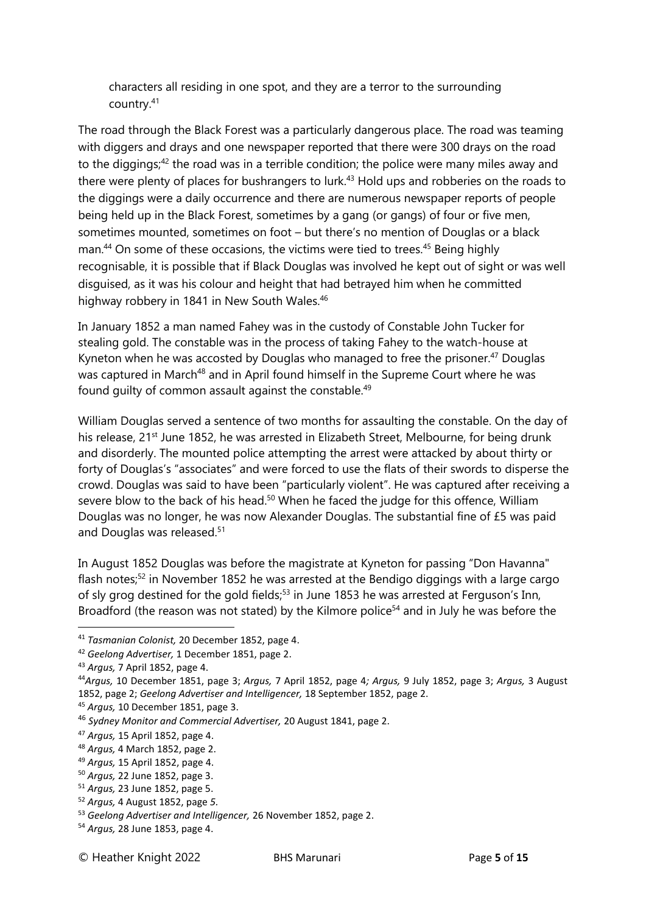characters all residing in one spot, and they are a terror to the surrounding country.<sup>41</sup>

The road through the Black Forest was a particularly dangerous place. The road was teaming with diggers and drays and one newspaper reported that there were 300 drays on the road to the diggings;<sup>42</sup> the road was in a terrible condition; the police were many miles away and there were plenty of places for bushrangers to lurk.<sup>43</sup> Hold ups and robberies on the roads to the diggings were a daily occurrence and there are numerous newspaper reports of people being held up in the Black Forest, sometimes by a gang (or gangs) of four or five men, sometimes mounted, sometimes on foot – but there's no mention of Douglas or a black man.<sup>44</sup> On some of these occasions, the victims were tied to trees.<sup>45</sup> Being highly recognisable, it is possible that if Black Douglas was involved he kept out of sight or was well disguised, as it was his colour and height that had betrayed him when he committed highway robbery in 1841 in New South Wales.<sup>46</sup>

In January 1852 a man named Fahey was in the custody of Constable John Tucker for stealing gold. The constable was in the process of taking Fahey to the watch-house at Kyneton when he was accosted by Douglas who managed to free the prisoner. <sup>47</sup> Douglas was captured in March<sup>48</sup> and in April found himself in the Supreme Court where he was found guilty of common assault against the constable.<sup>49</sup>

William Douglas served a sentence of two months for assaulting the constable. On the day of his release, 21<sup>st</sup> June 1852, he was arrested in Elizabeth Street, Melbourne, for being drunk and disorderly. The mounted police attempting the arrest were attacked by about thirty or forty of Douglas's "associates" and were forced to use the flats of their swords to disperse the crowd. Douglas was said to have been "particularly violent". He was captured after receiving a severe blow to the back of his head.<sup>50</sup> When he faced the judge for this offence, William Douglas was no longer, he was now Alexander Douglas. The substantial fine of £5 was paid and Douglas was released.<sup>51</sup>

In August 1852 Douglas was before the magistrate at Kyneton for passing "Don Havanna" flash notes;<sup>52</sup> in November 1852 he was arrested at the Bendigo diggings with a large cargo of sly grog destined for the gold fields;<sup>53</sup> in June 1853 he was arrested at Ferguson's Inn, Broadford (the reason was not stated) by the Kilmore police<sup>54</sup> and in July he was before the

<sup>41</sup> *Tasmanian Colonist,* 20 December 1852, page 4.

<sup>42</sup> *Geelong Advertiser,* 1 December 1851, page 2.

<sup>43</sup> *Argus,* 7 April 1852, page 4.

<sup>44</sup>*Argus,* 10 December 1851, page 3; *Argus,* 7 April 1852, page 4*; Argus,* 9 July 1852, page 3; *Argus,* 3 August 1852, page 2; *Geelong Advertiser and Intelligencer,* 18 September 1852, page 2.

<sup>45</sup> *Argus,* 10 December 1851, page 3.

<sup>46</sup> *Sydney Monitor and Commercial Advertiser,* 20 August 1841, page 2.

<sup>47</sup> *Argus,* 15 April 1852, page 4.

<sup>48</sup> *Argus,* 4 March 1852, page 2.

<sup>49</sup> *Argus,* 15 April 1852, page 4.

<sup>50</sup> *Argus,* 22 June 1852, page 3.

<sup>51</sup> *Argus,* 23 June 1852, page 5.

<sup>52</sup> *Argus,* 4 August 1852, page *5.*

<sup>53</sup> *Geelong Advertiser and Intelligencer,* 26 November 1852, page 2.

<sup>54</sup> *Argus,* 28 June 1853, page 4.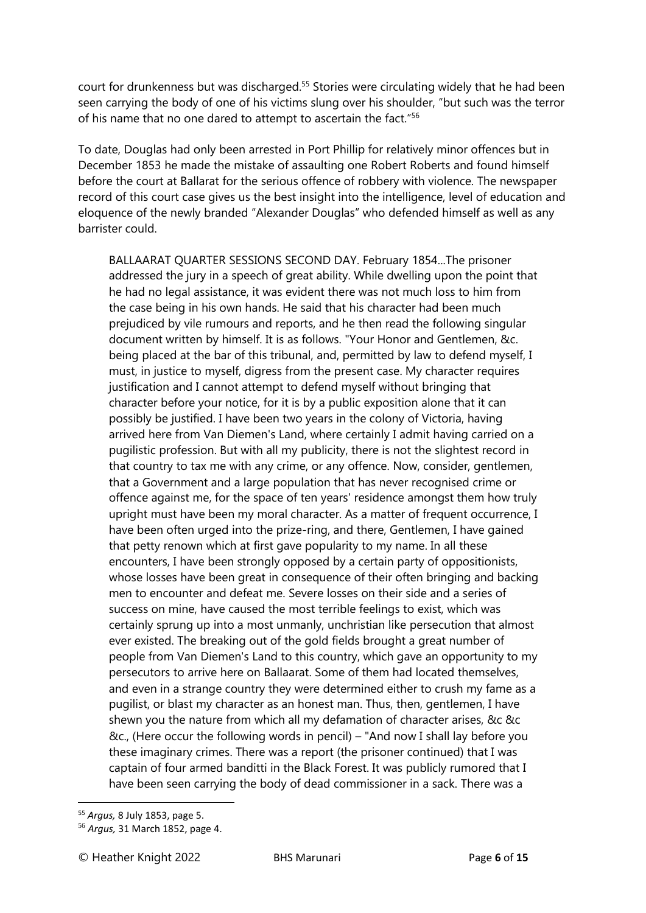court for drunkenness but was discharged.<sup>55</sup> Stories were circulating widely that he had been seen carrying the body of one of his victims slung over his shoulder, "but such was the terror of his name that no one dared to attempt to ascertain the fact."<sup>56</sup>

To date, Douglas had only been arrested in Port Phillip for relatively minor offences but in December 1853 he made the mistake of assaulting one Robert Roberts and found himself before the court at Ballarat for the serious offence of robbery with violence. The newspaper record of this court case gives us the best insight into the intelligence, level of education and eloquence of the newly branded "Alexander Douglas" who defended himself as well as any barrister could.

BALLAARAT QUARTER SESSIONS SECOND DAY. February 1854...The prisoner addressed the jury in a speech of great ability. While dwelling upon the point that he had no legal assistance, it was evident there was not much loss to him from the case being in his own hands. He said that his character had been much prejudiced by vile rumours and reports, and he then read the following singular document written by himself. It is as follows. "Your Honor and Gentlemen, &c. being placed at the bar of this tribunal, and, permitted by law to defend myself, I must, in justice to myself, digress from the present case. My character requires justification and I cannot attempt to defend myself without bringing that character before your notice, for it is by a public exposition alone that it can possibly be justified. I have been two years in the colony of Victoria, having arrived here from Van Diemen's Land, where certainly I admit having carried on a pugilistic profession. But with all my publicity, there is not the slightest record in that country to tax me with any crime, or any offence. Now, consider, gentlemen, that a Government and a large population that has never recognised crime or offence against me, for the space of ten years' residence amongst them how truly upright must have been my moral character. As a matter of frequent occurrence, I have been often urged into the prize-ring, and there, Gentlemen, I have gained that petty renown which at first gave popularity to my name. In all these encounters, I have been strongly opposed by a certain party of oppositionists, whose losses have been great in consequence of their often bringing and backing men to encounter and defeat me. Severe losses on their side and a series of success on mine, have caused the most terrible feelings to exist, which was certainly sprung up into a most unmanly, unchristian like persecution that almost ever existed. The breaking out of the gold fields brought a great number of people from Van Diemen's Land to this country, which gave an opportunity to my persecutors to arrive here on Ballaarat. Some of them had located themselves, and even in a strange country they were determined either to crush my fame as a pugilist, or blast my character as an honest man. Thus, then, gentlemen, I have shewn you the nature from which all my defamation of character arises, &c &c &c., (Here occur the following words in pencil) – "And now I shall lay before you these imaginary crimes. There was a report (the prisoner continued) that I was captain of four armed banditti in the Black Forest. It was publicly rumored that I have been seen carrying the body of dead commissioner in a sack. There was a

<sup>55</sup> *Argus,* 8 July 1853, page 5.

<sup>56</sup> *Argus,* 31 March 1852, page 4.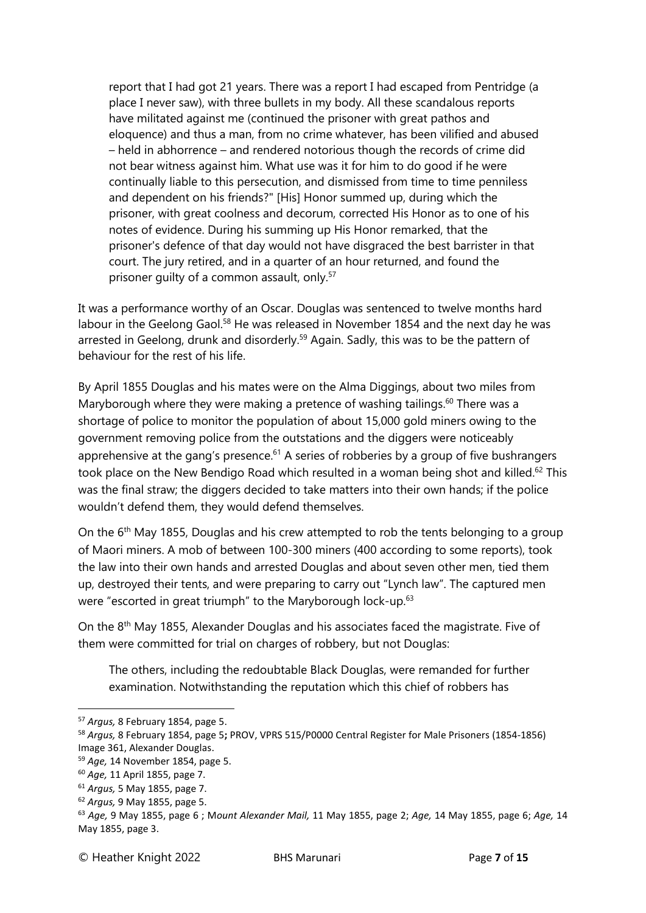report that I had got 21 years. There was a report I had escaped from Pentridge (a place I never saw), with three bullets in my body. All these scandalous reports have militated against me (continued the prisoner with great pathos and eloquence) and thus a man, from no crime whatever, has been vilified and abused – held in abhorrence – and rendered notorious though the records of crime did not bear witness against him. What use was it for him to do good if he were continually liable to this persecution, and dismissed from time to time penniless and dependent on his friends?" [His] Honor summed up, during which the prisoner, with great coolness and decorum, corrected His Honor as to one of his notes of evidence. During his summing up His Honor remarked, that the prisoner's defence of that day would not have disgraced the best barrister in that court. The jury retired, and in a quarter of an hour returned, and found the prisoner quilty of a common assault, only.<sup>57</sup>

It was a performance worthy of an Oscar. Douglas was sentenced to twelve months hard labour in the Geelong Gaol.<sup>58</sup> He was released in November 1854 and the next day he was arrested in Geelong, drunk and disorderly.<sup>59</sup> Again. Sadly, this was to be the pattern of behaviour for the rest of his life.

By April 1855 Douglas and his mates were on the Alma Diggings, about two miles from Maryborough where they were making a pretence of washing tailings.<sup>60</sup> There was a shortage of police to monitor the population of about 15,000 gold miners owing to the government removing police from the outstations and the diggers were noticeably apprehensive at the gang's presence.<sup>61</sup> A series of robberies by a group of five bushrangers took place on the New Bendigo Road which resulted in a woman being shot and killed.<sup>62</sup> This was the final straw; the diggers decided to take matters into their own hands; if the police wouldn't defend them, they would defend themselves.

On the 6<sup>th</sup> May 1855, Douglas and his crew attempted to rob the tents belonging to a group of Maori miners. A mob of between 100-300 miners (400 according to some reports), took the law into their own hands and arrested Douglas and about seven other men, tied them up, destroyed their tents, and were preparing to carry out "Lynch law". The captured men were "escorted in great triumph" to the Maryborough lock-up.<sup>63</sup>

On the 8th May 1855, Alexander Douglas and his associates faced the magistrate. Five of them were committed for trial on charges of robbery, but not Douglas:

The others, including the redoubtable Black Douglas, were remanded for further examination. Notwithstanding the reputation which this chief of robbers has

<sup>57</sup> *Argus,* 8 February 1854, page 5.

<sup>58</sup> *Argus,* 8 February 1854, page 5**;** PROV, VPRS 515/P0000 Central Register for Male Prisoners (1854-1856) Image 361, Alexander Douglas.

<sup>59</sup> *Age,* 14 November 1854, page 5.

<sup>60</sup> *Age,* 11 April 1855, page 7.

<sup>61</sup> *Argus,* 5 May 1855, page 7.

<sup>62</sup> *Argus,* 9 May 1855, page 5.

<sup>63</sup> *Age,* 9 May 1855, page 6 ; M*ount Alexander Mail,* 11 May 1855, page 2; *Age,* 14 May 1855, page 6; *Age,* 14 May 1855, page 3.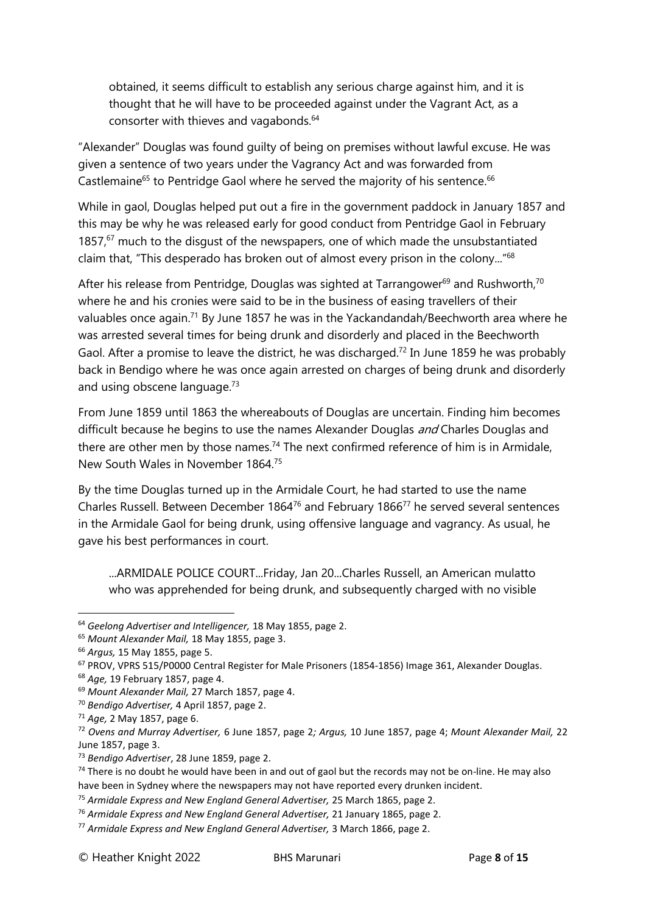obtained, it seems difficult to establish any serious charge against him, and it is thought that he will have to be proceeded against under the Vagrant Act, as a consorter with thieves and vagabonds.<sup>64</sup>

"Alexander" Douglas was found guilty of being on premises without lawful excuse. He was given a sentence of two years under the Vagrancy Act and was forwarded from Castlemaine<sup>65</sup> to Pentridge Gaol where he served the majority of his sentence.<sup>66</sup>

While in gaol, Douglas helped put out a fire in the government paddock in January 1857 and this may be why he was released early for good conduct from Pentridge Gaol in February 1857,<sup>67</sup> much to the disgust of the newspapers, one of which made the unsubstantiated claim that, "This desperado has broken out of almost every prison in the colony..."<sup>68</sup>

After his release from Pentridge, Douglas was sighted at Tarrangower $^{69}$  and Rushworth,<sup>70</sup> where he and his cronies were said to be in the business of easing travellers of their valuables once again.<sup>71</sup> By June 1857 he was in the Yackandandah/Beechworth area where he was arrested several times for being drunk and disorderly and placed in the Beechworth Gaol. After a promise to leave the district, he was discharged.<sup>72</sup> In June 1859 he was probably back in Bendigo where he was once again arrested on charges of being drunk and disorderly and using obscene language.<sup>73</sup>

From June 1859 until 1863 the whereabouts of Douglas are uncertain. Finding him becomes difficult because he begins to use the names Alexander Douglas and Charles Douglas and there are other men by those names.<sup>74</sup> The next confirmed reference of him is in Armidale, New South Wales in November 1864.<sup>75</sup>

By the time Douglas turned up in the Armidale Court, he had started to use the name Charles Russell. Between December 1864<sup>76</sup> and February 1866<sup>77</sup> he served several sentences in the Armidale Gaol for being drunk, using offensive language and vagrancy. As usual, he gave his best performances in court.

...ARMIDALE POLICE COURT...Friday, Jan 20...Charles Russell, an American mulatto who was apprehended for being drunk, and subsequently charged with no visible

<sup>64</sup> *Geelong Advertiser and Intelligencer,* 18 May 1855, page 2.

<sup>65</sup> *Mount Alexander Mail,* 18 May 1855, page 3.

<sup>66</sup> *Argus,* 15 May 1855, page 5.

<sup>67</sup> PROV, VPRS 515/P0000 Central Register for Male Prisoners (1854-1856) Image 361, Alexander Douglas.

<sup>68</sup> *Age,* 19 February 1857, page 4.

<sup>69</sup> *Mount Alexander Mail,* 27 March 1857, page 4.

<sup>70</sup> *Bendigo Advertiser,* 4 April 1857, page 2.

<sup>71</sup> *Age,* 2 May 1857, page 6.

<sup>72</sup> *Ovens and Murray Advertiser,* 6 June 1857, page 2*; Argus,* 10 June 1857, page 4; *Mount Alexander Mail,* 22 June 1857, page 3.

<sup>73</sup> *Bendigo Advertiser*, 28 June 1859, page 2.

 $74$  There is no doubt he would have been in and out of gaol but the records may not be on-line. He may also have been in Sydney where the newspapers may not have reported every drunken incident.

<sup>75</sup> *Armidale Express and New England General Advertiser,* 25 March 1865, page 2.

<sup>76</sup> *Armidale Express and New England General Advertiser,* 21 January 1865, page 2.

<sup>77</sup> *Armidale Express and New England General Advertiser,* 3 March 1866, page 2.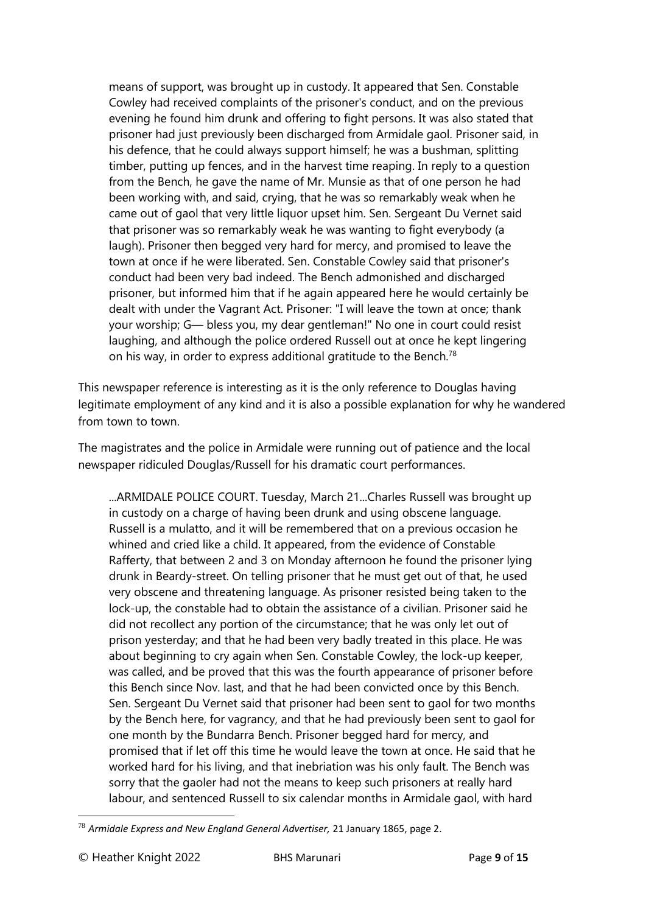means of support, was brought up in custody. It appeared that Sen. Constable Cowley had received complaints of the prisoner's conduct, and on the previous evening he found him drunk and offering to fight persons. It was also stated that prisoner had just previously been discharged from Armidale gaol. Prisoner said, in his defence, that he could always support himself; he was a bushman, splitting timber, putting up fences, and in the harvest time reaping. In reply to a question from the Bench, he gave the name of Mr. Munsie as that of one person he had been working with, and said, crying, that he was so remarkably weak when he came out of gaol that very little liquor upset him. Sen. Sergeant Du Vernet said that prisoner was so remarkably weak he was wanting to fight everybody (a laugh). Prisoner then begged very hard for mercy, and promised to leave the town at once if he were liberated. Sen. Constable Cowley said that prisoner's conduct had been very bad indeed. The Bench admonished and discharged prisoner, but informed him that if he again appeared here he would certainly be dealt with under the Vagrant Act. Prisoner: "I will leave the town at once; thank your worship; G— bless you, my dear gentleman!" No one in court could resist laughing, and although the police ordered Russell out at once he kept lingering on his way, in order to express additional gratitude to the Bench.<sup>78</sup>

This newspaper reference is interesting as it is the only reference to Douglas having legitimate employment of any kind and it is also a possible explanation for why he wandered from town to town.

The magistrates and the police in Armidale were running out of patience and the local newspaper ridiculed Douglas/Russell for his dramatic court performances.

...ARMIDALE POLICE COURT. Tuesday, March 21...Charles Russell was brought up in custody on a charge of having been drunk and using obscene language. Russell is a mulatto, and it will be remembered that on a previous occasion he whined and cried like a child. It appeared, from the evidence of Constable Rafferty, that between 2 and 3 on Monday afternoon he found the prisoner lying drunk in Beardy-street. On telling prisoner that he must get out of that, he used very obscene and threatening language. As prisoner resisted being taken to the lock-up, the constable had to obtain the assistance of a civilian. Prisoner said he did not recollect any portion of the circumstance; that he was only let out of prison yesterday; and that he had been very badly treated in this place. He was about beginning to cry again when Sen. Constable Cowley, the lock-up keeper, was called, and be proved that this was the fourth appearance of prisoner before this Bench since Nov. last, and that he had been convicted once by this Bench. Sen. Sergeant Du Vernet said that prisoner had been sent to gaol for two months by the Bench here, for vagrancy, and that he had previously been sent to gaol for one month by the Bundarra Bench. Prisoner begged hard for mercy, and promised that if let off this time he would leave the town at once. He said that he worked hard for his living, and that inebriation was his only fault. The Bench was sorry that the gaoler had not the means to keep such prisoners at really hard labour, and sentenced Russell to six calendar months in Armidale gaol, with hard

<sup>78</sup> *Armidale Express and New England General Advertiser,* 21 January 1865, page 2.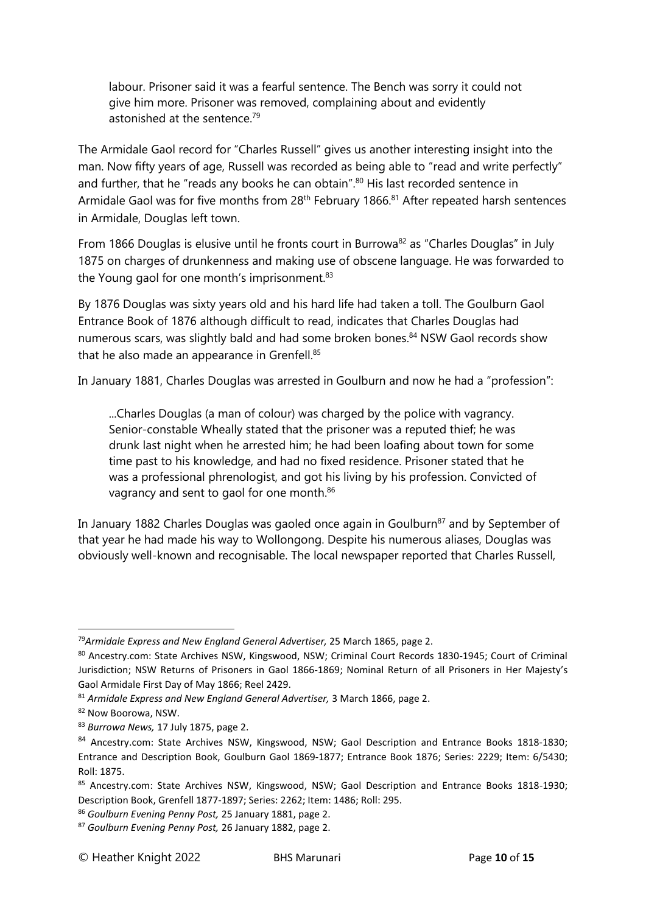labour. Prisoner said it was a fearful sentence. The Bench was sorry it could not give him more. Prisoner was removed, complaining about and evidently astonished at the sentence.<sup>79</sup>

The Armidale Gaol record for "Charles Russell" gives us another interesting insight into the man. Now fifty years of age, Russell was recorded as being able to "read and write perfectly" and further, that he "reads any books he can obtain".<sup>80</sup> His last recorded sentence in Armidale Gaol was for five months from 28<sup>th</sup> February 1866.<sup>81</sup> After repeated harsh sentences in Armidale, Douglas left town.

From 1866 Douglas is elusive until he fronts court in Burrowa<sup>82</sup> as "Charles Douglas" in July 1875 on charges of drunkenness and making use of obscene language. He was forwarded to the Young gaol for one month's imprisonment.<sup>83</sup>

By 1876 Douglas was sixty years old and his hard life had taken a toll. The Goulburn Gaol Entrance Book of 1876 although difficult to read, indicates that Charles Douglas had numerous scars, was slightly bald and had some broken bones. <sup>84</sup> NSW Gaol records show that he also made an appearance in Grenfell.<sup>85</sup>

In January 1881, Charles Douglas was arrested in Goulburn and now he had a "profession":

...Charles Douglas (a man of colour) was charged by the police with vagrancy. Senior-constable Wheally stated that the prisoner was a reputed thief; he was drunk last night when he arrested him; he had been loafing about town for some time past to his knowledge, and had no fixed residence. Prisoner stated that he was a professional phrenologist, and got his living by his profession. Convicted of vagrancy and sent to gaol for one month.<sup>86</sup>

In January 1882 Charles Douglas was gaoled once again in Goulburn<sup>87</sup> and by September of that year he had made his way to Wollongong. Despite his numerous aliases, Douglas was obviously well-known and recognisable. The local newspaper reported that Charles Russell,

<sup>79</sup>*Armidale Express and New England General Advertiser,* 25 March 1865, page 2.

<sup>80</sup> Ancestry.com: State Archives NSW, Kingswood, NSW; Criminal Court Records 1830-1945; Court of Criminal Jurisdiction; NSW Returns of Prisoners in Gaol 1866-1869; Nominal Return of all Prisoners in Her Majesty's Gaol Armidale First Day of May 1866; Reel 2429.

<sup>81</sup> *Armidale Express and New England General Advertiser,* 3 March 1866, page 2.

<sup>82</sup> Now Boorowa, NSW.

<sup>83</sup> *Burrowa News,* 17 July 1875, page 2.

<sup>84</sup> Ancestry.com: State Archives NSW, Kingswood, NSW; Gaol Description and Entrance Books 1818-1830; Entrance and Description Book, Goulburn Gaol 1869-1877; Entrance Book 1876; Series: 2229; Item: 6/5430; Roll: 1875.

<sup>85</sup> Ancestry.com: State Archives NSW, Kingswood, NSW; Gaol Description and Entrance Books 1818-1930; Description Book, Grenfell 1877-1897; Series: 2262; Item: 1486; Roll: 295.

<sup>86</sup> *Goulburn Evening Penny Post,* 25 January 1881, page 2.

<sup>87</sup> *Goulburn Evening Penny Post,* 26 January 1882, page 2.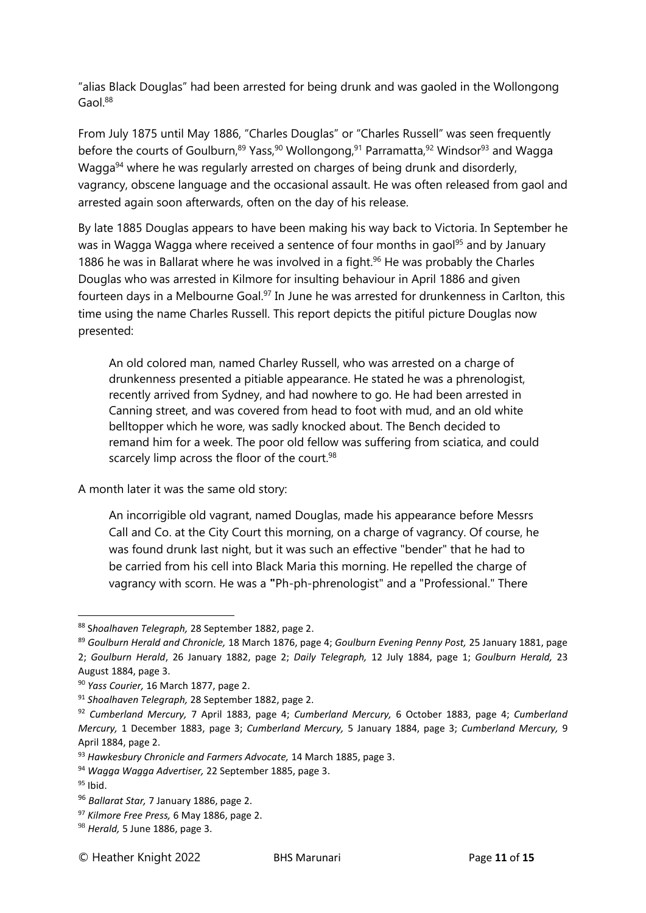"alias Black Douglas" had been arrested for being drunk and was gaoled in the Wollongong Gaol.<sup>88</sup>

From July 1875 until May 1886, "Charles Douglas" or "Charles Russell" was seen frequently before the courts of Goulburn,<sup>89</sup> Yass,<sup>90</sup> Wollongong,<sup>91</sup> Parramatta,<sup>92</sup> Windsor<sup>93</sup> and Wagga Wagga<sup>94</sup> where he was regularly arrested on charges of being drunk and disorderly, vagrancy, obscene language and the occasional assault. He was often released from gaol and arrested again soon afterwards, often on the day of his release.

By late 1885 Douglas appears to have been making his way back to Victoria. In September he was in Wagga Wagga where received a sentence of four months in gaol<sup>95</sup> and by January 1886 he was in Ballarat where he was involved in a fight. $96$  He was probably the Charles Douglas who was arrested in Kilmore for insulting behaviour in April 1886 and given fourteen days in a Melbourne Goal.<sup>97</sup> In June he was arrested for drunkenness in Carlton, this time using the name Charles Russell. This report depicts the pitiful picture Douglas now presented:

An old colored man, named Charley Russell, who was arrested on a charge of drunkenness presented a pitiable appearance. He stated he was a phrenologist, recently arrived from Sydney, and had nowhere to go. He had been arrested in Canning street, and was covered from head to foot with mud, and an old white belltopper which he wore, was sadly knocked about. The Bench decided to remand him for a week. The poor old fellow was suffering from sciatica, and could scarcely limp across the floor of the court.<sup>98</sup>

A month later it was the same old story:

An incorrigible old vagrant, named Douglas, made his appearance before Messrs Call and Co. at the City Court this morning, on a charge of vagrancy. Of course, he was found drunk last night, but it was such an effective "bender" that he had to be carried from his cell into Black Maria this morning. He repelled the charge of vagrancy with scorn. He was a **"**Ph-ph-phrenologist" and a "Professional." There

<sup>88</sup> S*hoalhaven Telegraph,* 28 September 1882, page 2.

<sup>89</sup> *Goulburn Herald and Chronicle,* 18 March 1876, page 4; *Goulburn Evening Penny Post,* 25 January 1881, page 2; *Goulburn Herald*, 26 January 1882, page 2; *Daily Telegraph,* 12 July 1884, page 1; *Goulburn Herald,* 23 August 1884, page 3.

<sup>90</sup> *Yass Courier,* 16 March 1877, page 2.

<sup>91</sup> *Shoalhaven Telegraph,* 28 September 1882, page 2.

<sup>92</sup> *Cumberland Mercury,* 7 April 1883, page 4; *Cumberland Mercury,* 6 October 1883, page 4; *Cumberland Mercury,* 1 December 1883, page 3; *Cumberland Mercury,* 5 January 1884, page 3; *Cumberland Mercury,* 9 April 1884, page 2.

<sup>93</sup> *Hawkesbury Chronicle and Farmers Advocate,* 14 March 1885, page 3.

<sup>94</sup> *Wagga Wagga Advertiser,* 22 September 1885, page 3.

 $95$  Ibid.

<sup>96</sup> *Ballarat Star,* 7 January 1886, page 2.

<sup>97</sup> *Kilmore Free Press,* 6 May 1886, page 2.

<sup>98</sup> *Herald,* 5 June 1886, page 3.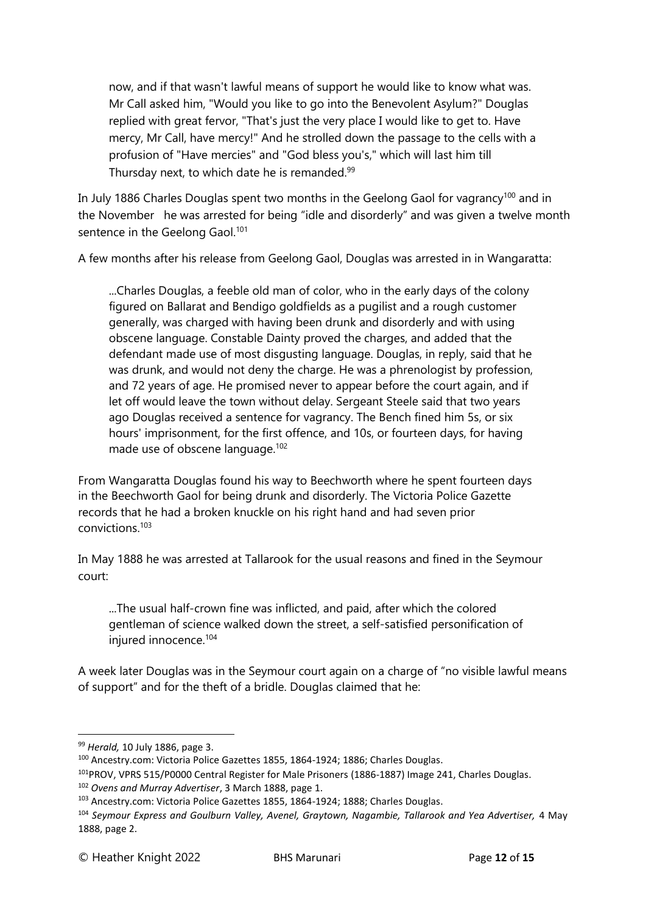now, and if that wasn't lawful means of support he would like to know what was. Mr Call asked him, "Would you like to go into the Benevolent Asylum?" Douglas replied with great fervor, "That's just the very place I would like to get to. Have mercy, Mr Call, have mercy!" And he strolled down the passage to the cells with a profusion of "Have mercies" and "God bless you's," which will last him till Thursday next, to which date he is remanded.<sup>99</sup>

In July 1886 Charles Douglas spent two months in the Geelong Gaol for vagrancy<sup>100</sup> and in the November he was arrested for being "idle and disorderly" and was given a twelve month sentence in the Geelong Gaol.<sup>101</sup>

A few months after his release from Geelong Gaol, Douglas was arrested in in Wangaratta:

...Charles Douglas, a feeble old man of color, who in the early days of the colony figured on Ballarat and Bendigo goldfields as a pugilist and a rough customer generally, was charged with having been drunk and disorderly and with using obscene language. Constable Dainty proved the charges, and added that the defendant made use of most disgusting language. Douglas, in reply, said that he was drunk, and would not deny the charge. He was a phrenologist by profession, and 72 years of age. He promised never to appear before the court again, and if let off would leave the town without delay. Sergeant Steele said that two years ago Douglas received a sentence for vagrancy. The Bench fined him 5s, or six hours' imprisonment, for the first offence, and 10s, or fourteen days, for having made use of obscene language.<sup>102</sup>

From Wangaratta Douglas found his way to Beechworth where he spent fourteen days in the Beechworth Gaol for being drunk and disorderly. The Victoria Police Gazette records that he had a broken knuckle on his right hand and had seven prior convictions.<sup>103</sup>

In May 1888 he was arrested at Tallarook for the usual reasons and fined in the Seymour court:

...The usual half-crown fine was inflicted, and paid, after which the colored gentleman of science walked down the street, a self-satisfied personification of injured innocence.<sup>104</sup>

A week later Douglas was in the Seymour court again on a charge of "no visible lawful means of support" and for the theft of a bridle. Douglas claimed that he:

<sup>99</sup> *Herald,* 10 July 1886, page 3.

<sup>100</sup> Ancestry.com: Victoria Police Gazettes 1855, 1864-1924; 1886; Charles Douglas.

<sup>101</sup>PROV, VPRS 515/P0000 Central Register for Male Prisoners (1886-1887) Image 241, Charles Douglas. <sup>102</sup> *Ovens and Murray Advertiser*, 3 March 1888, page 1.

<sup>103</sup> Ancestry.com: Victoria Police Gazettes 1855, 1864-1924; 1888; Charles Douglas.

<sup>104</sup> *Seymour Express and Goulburn Valley, Avenel, Graytown, Nagambie, Tallarook and Yea Advertiser,* 4 May 1888, page 2.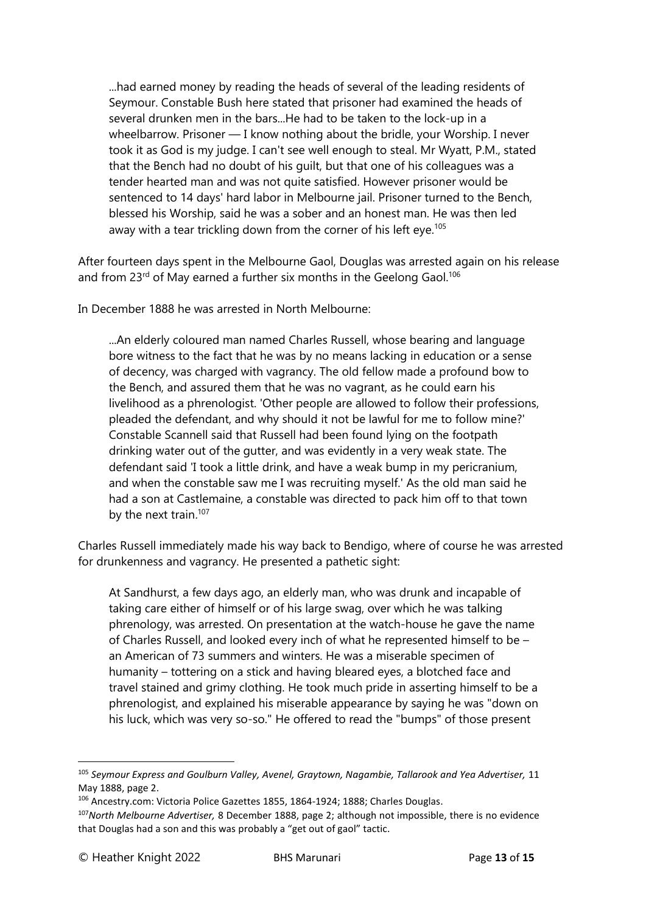...had earned money by reading the heads of several of the leading residents of Seymour. Constable Bush here stated that prisoner had examined the heads of several drunken men in the bars...He had to be taken to the lock-up in a wheelbarrow. Prisoner — I know nothing about the bridle, your Worship. I never took it as God is my judge. I can't see well enough to steal. Mr Wyatt, P.M., stated that the Bench had no doubt of his guilt, but that one of his colleagues was a tender hearted man and was not quite satisfied. However prisoner would be sentenced to 14 days' hard labor in Melbourne jail. Prisoner turned to the Bench, blessed his Worship, said he was a sober and an honest man. He was then led away with a tear trickling down from the corner of his left eye.<sup>105</sup>

After fourteen days spent in the Melbourne Gaol, Douglas was arrested again on his release and from 23<sup>rd</sup> of May earned a further six months in the Geelong Gaol.<sup>106</sup>

In December 1888 he was arrested in North Melbourne:

...An elderly coloured man named Charles Russell, whose bearing and language bore witness to the fact that he was by no means lacking in education or a sense of decency, was charged with vagrancy. The old fellow made a profound bow to the Bench, and assured them that he was no vagrant, as he could earn his livelihood as a phrenologist. 'Other people are allowed to follow their professions, pleaded the defendant, and why should it not be lawful for me to follow mine?' Constable Scannell said that Russell had been found lying on the footpath drinking water out of the gutter, and was evidently in a very weak state. The defendant said 'I took a little drink, and have a weak bump in my pericranium, and when the constable saw me I was recruiting myself.' As the old man said he had a son at Castlemaine, a constable was directed to pack him off to that town by the next train.<sup>107</sup>

Charles Russell immediately made his way back to Bendigo, where of course he was arrested for drunkenness and vagrancy. He presented a pathetic sight:

At Sandhurst, a few days ago, an elderly man, who was drunk and incapable of taking care either of himself or of his large swag, over which he was talking phrenology, was arrested. On presentation at the watch-house he gave the name of Charles Russell, and looked every inch of what he represented himself to be – an American of 73 summers and winters. He was a miserable specimen of humanity – tottering on a stick and having bleared eyes, a blotched face and travel stained and grimy clothing. He took much pride in asserting himself to be a phrenologist, and explained his miserable appearance by saying he was "down on his luck, which was very so-so." He offered to read the "bumps" of those present

<sup>105</sup> *Seymour Express and Goulburn Valley, Avenel, Graytown, Nagambie, Tallarook and Yea Advertiser,* 11 May 1888, page 2.

<sup>106</sup> Ancestry.com: Victoria Police Gazettes 1855, 1864-1924; 1888; Charles Douglas.

<sup>107</sup>*North Melbourne Advertiser,* 8 December 1888, page 2; although not impossible, there is no evidence that Douglas had a son and this was probably a "get out of gaol" tactic.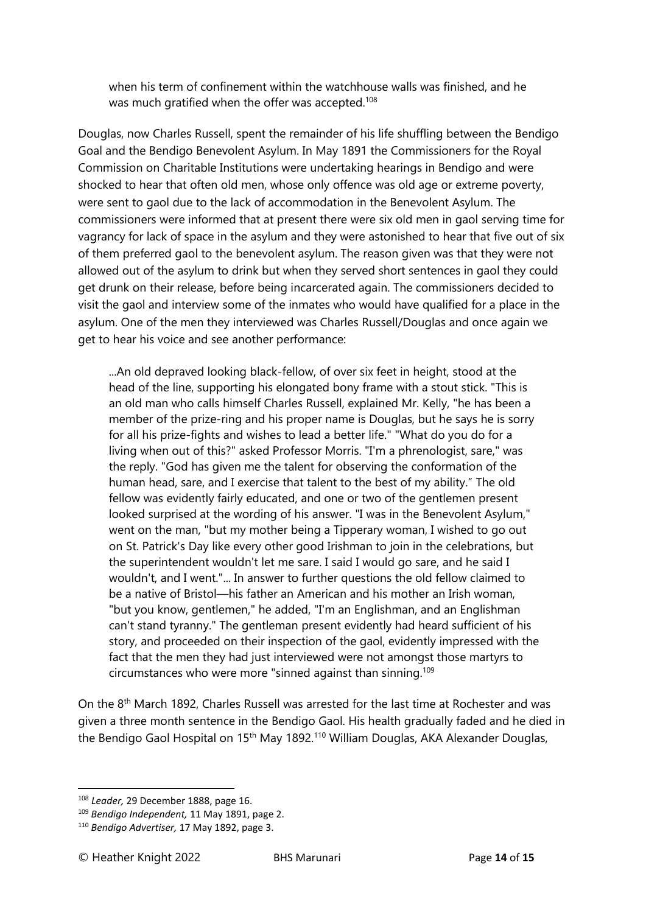when his term of confinement within the watchhouse walls was finished, and he was much gratified when the offer was accepted.<sup>108</sup>

Douglas, now Charles Russell, spent the remainder of his life shuffling between the Bendigo Goal and the Bendigo Benevolent Asylum. In May 1891 the Commissioners for the Royal Commission on Charitable Institutions were undertaking hearings in Bendigo and were shocked to hear that often old men, whose only offence was old age or extreme poverty, were sent to gaol due to the lack of accommodation in the Benevolent Asylum. The commissioners were informed that at present there were six old men in gaol serving time for vagrancy for lack of space in the asylum and they were astonished to hear that five out of six of them preferred gaol to the benevolent asylum. The reason given was that they were not allowed out of the asylum to drink but when they served short sentences in gaol they could get drunk on their release, before being incarcerated again. The commissioners decided to visit the gaol and interview some of the inmates who would have qualified for a place in the asylum. One of the men they interviewed was Charles Russell/Douglas and once again we get to hear his voice and see another performance:

...An old depraved looking black-fellow, of over six feet in height, stood at the head of the line, supporting his elongated bony frame with a stout stick. "This is an old man who calls himself Charles Russell, explained Mr. Kelly, "he has been a member of the prize-ring and his proper name is Douglas, but he says he is sorry for all his prize-fights and wishes to lead a better life." "What do you do for a living when out of this?" asked Professor Morris. "I'm a phrenologist, sare," was the reply. "God has given me the talent for observing the conformation of the human head, sare, and I exercise that talent to the best of my ability." The old fellow was evidently fairly educated, and one or two of the gentlemen present looked surprised at the wording of his answer. "I was in the Benevolent Asylum," went on the man, "but my mother being a Tipperary woman, I wished to go out on St. Patrick's Day like every other good Irishman to join in the celebrations, but the superintendent wouldn't let me sare. I said I would go sare, and he said I wouldn't, and I went."... In answer to further questions the old fellow claimed to be a native of Bristol—his father an American and his mother an Irish woman, "but you know, gentlemen," he added, "I'm an Englishman, and an Englishman can't stand tyranny." The gentleman present evidently had heard sufficient of his story, and proceeded on their inspection of the gaol, evidently impressed with the fact that the men they had just interviewed were not amongst those martyrs to circumstances who were more "sinned against than sinning.<sup>109</sup>

On the 8th March 1892, Charles Russell was arrested for the last time at Rochester and was given a three month sentence in the Bendigo Gaol. His health gradually faded and he died in the Bendigo Gaol Hospital on 15<sup>th</sup> May 1892.<sup>110</sup> William Douglas, AKA Alexander Douglas,

<sup>108</sup> *Leader,* 29 December 1888, page 16.

<sup>109</sup> *Bendigo Independent,* 11 May 1891, page 2.

<sup>110</sup> *Bendigo Advertiser,* 17 May 1892, page 3.